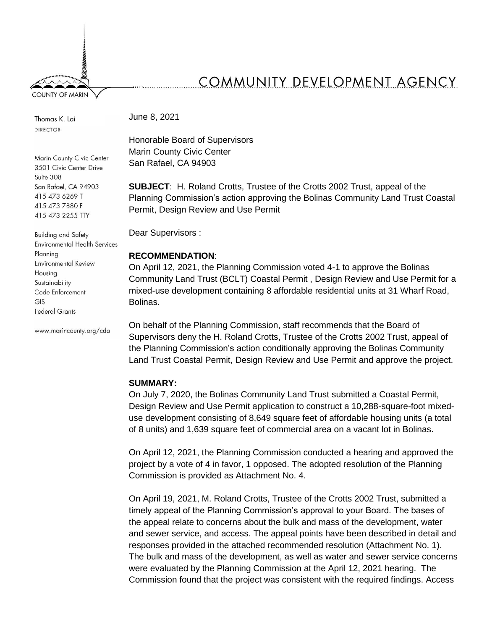**COUNTY OF MARIN** 

**DIRECTOR** 

Marin County Civic Center 3501 Civic Center Drive Suite 308 San Rafael, CA 94903 415 473 6269 T 415 473 7880 F 415 473 2255 TTY

**Building and Safety Environmental Health Services** Planning **Environmental Review** Housing Sustainability Code Enforcement GIS **Federal Grants** 

www.marincounty.org/cda

# COMMUNITY DEVELOPMENT AGENCY

Thomas K. Lai **June 8, 2021** 

Honorable Board of Supervisors Marin County Civic Center San Rafael, CA 94903

**SUBJECT**: H. Roland Crotts, Trustee of the Crotts 2002 Trust, appeal of the Planning Commission's action approving the Bolinas Community Land Trust Coastal Permit, Design Review and Use Permit

Dear Supervisors :

## **RECOMMENDATION**:

On April 12, 2021, the Planning Commission voted 4-1 to approve the Bolinas Community Land Trust (BCLT) Coastal Permit , Design Review and Use Permit for a mixed-use development containing 8 affordable residential units at 31 Wharf Road, Bolinas.

On behalf of the Planning Commission, staff recommends that the Board of Supervisors deny the H. Roland Crotts, Trustee of the Crotts 2002 Trust, appeal of the Planning Commission's action conditionally approving the Bolinas Community Land Trust Coastal Permit, Design Review and Use Permit and approve the project.

#### **SUMMARY:**

On July 7, 2020, the Bolinas Community Land Trust submitted a Coastal Permit, Design Review and Use Permit application to construct a 10,288-square-foot mixeduse development consisting of 8,649 square feet of affordable housing units (a total of 8 units) and 1,639 square feet of commercial area on a vacant lot in Bolinas.

On April 12, 2021, the Planning Commission conducted a hearing and approved the project by a vote of 4 in favor, 1 opposed. The adopted resolution of the Planning Commission is provided as Attachment No. 4.

On April 19, 2021, M. Roland Crotts, Trustee of the Crotts 2002 Trust, submitted a timely appeal of the Planning Commission's approval to your Board. The bases of the appeal relate to concerns about the bulk and mass of the development, water and sewer service, and access. The appeal points have been described in detail and responses provided in the attached recommended resolution (Attachment No. 1). The bulk and mass of the development, as well as water and sewer service concerns were evaluated by the Planning Commission at the April 12, 2021 hearing. The Commission found that the project was consistent with the required findings. Access